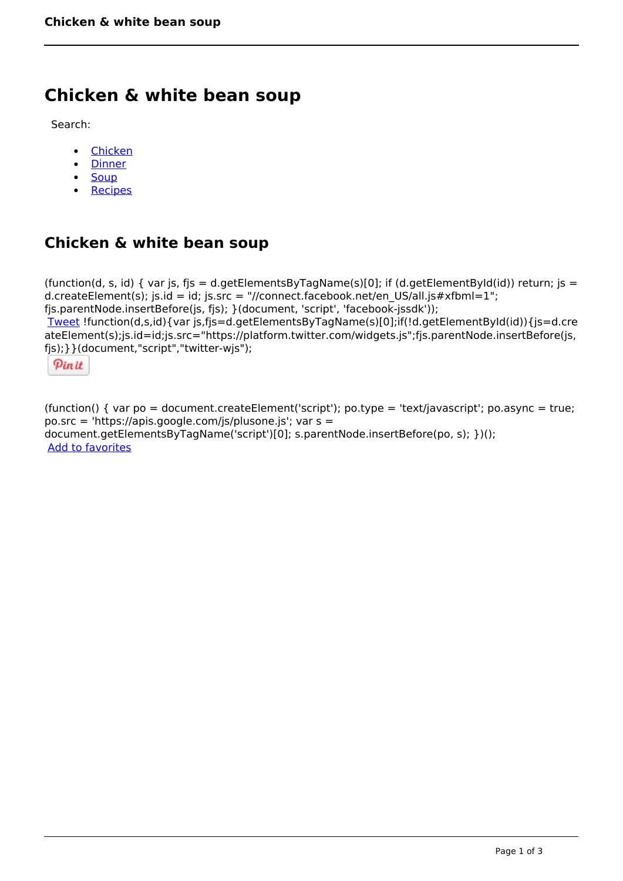# **Chicken & white bean soup**

Search:

- [Chicken](https://www.naturalhealthmag.com.au/nourish/chicken)  $\bullet$
- [Dinner](https://www.naturalhealthmag.com.au/nourish/dinner-ideas)
- [Soup](https://www.naturalhealthmag.com.au/nourish/soup)
- [Recipes](https://www.naturalhealthmag.com.au/nourish/recipes)

## **Chicken & white bean soup**

(function(d, s, id) { var js, fjs = d.getElementsByTagName(s)[0]; if (d.getElementById(id)) return; js = d.createElement(s); js.id = id; js.src = "//connect.facebook.net/en\_US/all.js#xfbml=1"; fjs.parentNode.insertBefore(js, fjs); }(document, 'script', 'facebook-jssdk')); [Tweet](https://twitter.com/share) !function(d,s,id){var js,fjs=d.getElementsByTagName(s)[0];if(!d.getElementById(id)){js=d.cre ateElement(s);js.id=id;js.src="https://platform.twitter.com/widgets.js";fjs.parentNode.insertBefore(js, fjs);}}(document,"script","twitter-wjs");

Pinit

(function() { var po = document.createElement('script'); po.type = 'text/javascript'; po.async = true; po.src = 'https://apis.google.com/js/plusone.js'; var s = document.getElementsByTagName('script')[0]; s.parentNode.insertBefore(po, s); })(); Add to favorites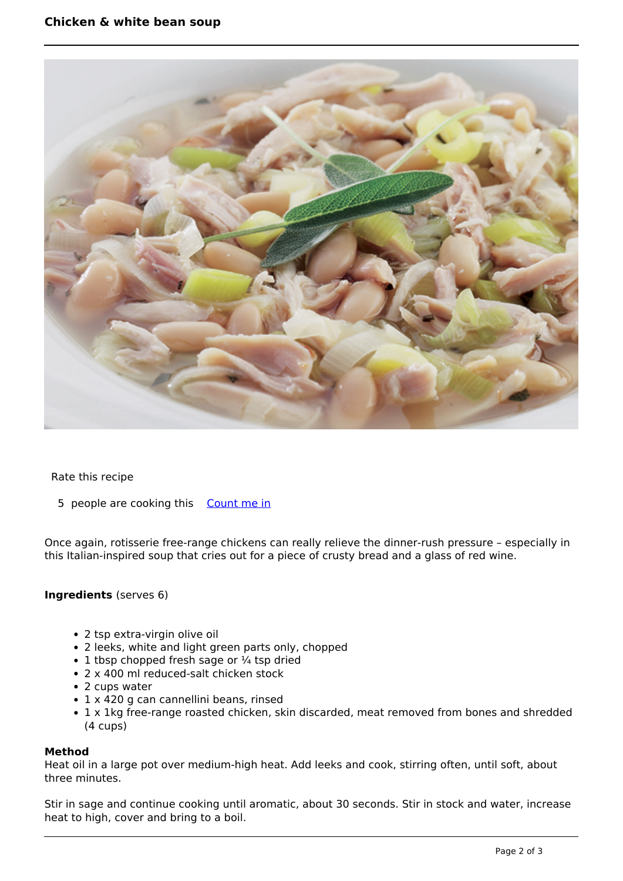

#### Rate this recipe

5 people are cooking this [Count me in](https://www.naturalhealthmag.com.au/flag/flag/favorites/793?destination=printpdf%2F793&token=8d994848836e5dab83f75ca3a6be401d)

Once again, rotisserie free-range chickens can really relieve the dinner-rush pressure – especially in this Italian-inspired soup that cries out for a piece of crusty bread and a glass of red wine.

#### **Ingredients** (serves 6)

- 2 tsp extra-virgin olive oil
- 2 leeks, white and light green parts only, chopped
- $\cdot$  1 tbsp chopped fresh sage or  $\frac{1}{4}$  tsp dried
- 2 x 400 ml reduced-salt chicken stock
- 2 cups water
- 1 x 420 g can cannellini beans, rinsed
- 1 x 1kg free-range roasted chicken, skin discarded, meat removed from bones and shredded (4 cups)

#### **Method**

Heat oil in a large pot over medium-high heat. Add leeks and cook, stirring often, until soft, about three minutes.

Stir in sage and continue cooking until aromatic, about 30 seconds. Stir in stock and water, increase heat to high, cover and bring to a boil.